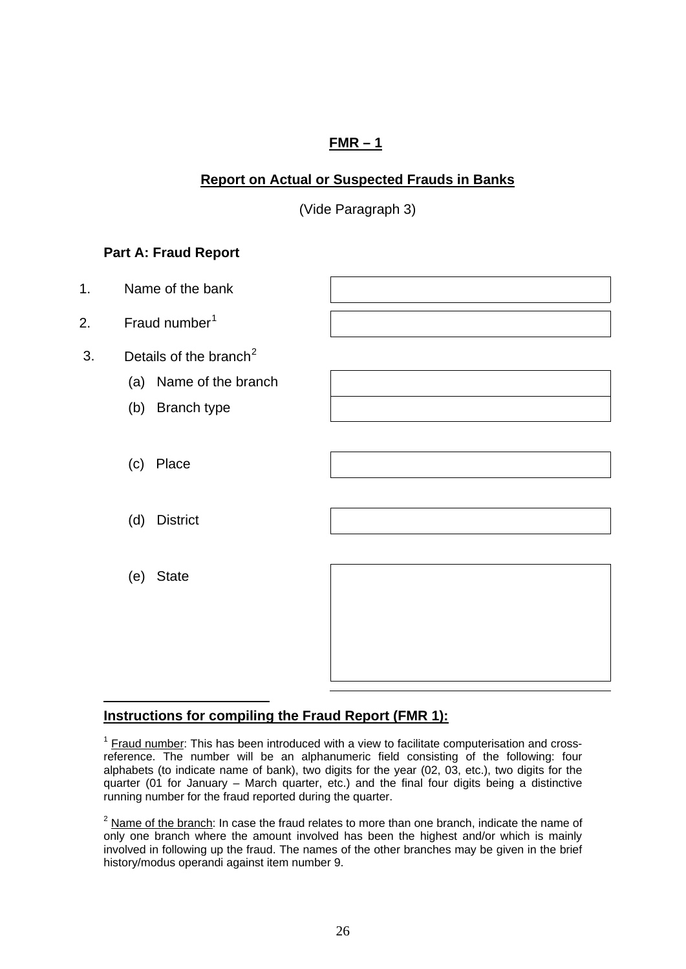# **FMR – 1**

# <span id="page-0-0"></span>**Report on Actual or Suspected Frauds in Banks**

(Vide Paragraph 3)

# **Part A: Fraud Report**



# **Instructions for compiling the Fraud Report (FMR 1):**

 $<sup>1</sup>$  Fraud number: This has been introduced with a view to facilitate computerisation and cross-</sup> reference. The number will be an alphanumeric field consisting of the following: four alphabets (to indicate name of bank), two digits for the year (02, 03, etc.), two digits for the quarter (01 for January – March quarter, etc.) and the final four digits being a distinctive running number for the fraud reported during the quarter.

 $<sup>2</sup>$  Name of the branch: In case the fraud relates to more than one branch, indicate the name of</sup> only one branch where the amount involved has been the highest and/or which is mainly involved in following up the fraud. The names of the other branches may be given in the brief history/modus operandi against item number 9.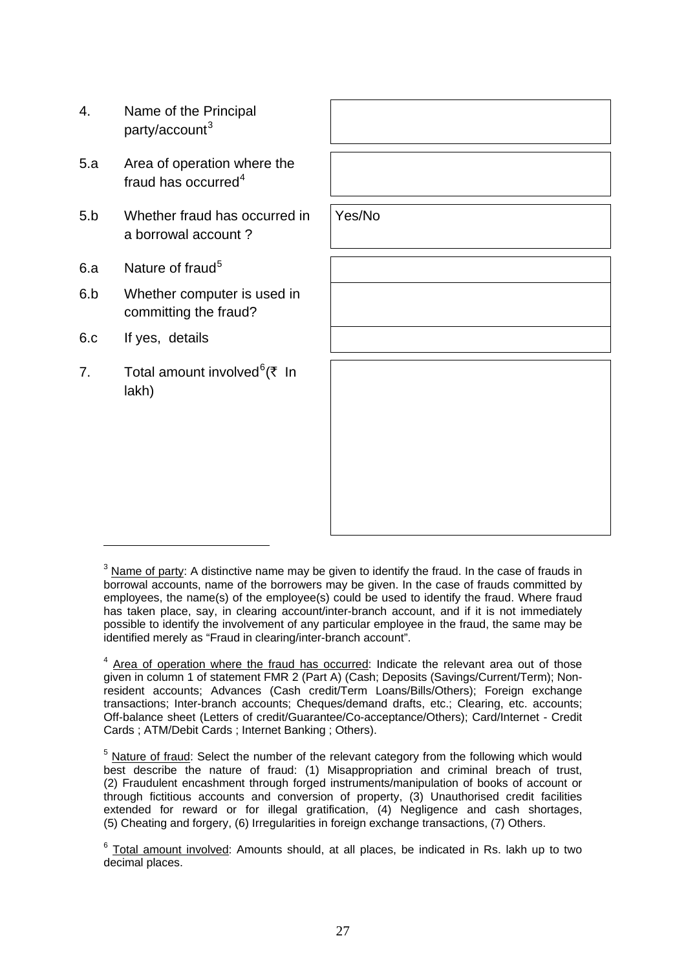- <span id="page-1-0"></span>4. Name of the Principal party/account<sup>[3](#page-1-0)</sup>
- 5.a Area of operation where the fraud has occurred<sup>[4](#page-1-0)</sup>
- 5.b Whether fraud has occurred in a borrowal account ?
- 6.a Nature of fraud<sup>[5](#page-1-0)</sup>
- 6.b Whether computer is used in committing the fraud?
- 6.c If yes, details
- 7. Total amount involved<sup>[6](#page-1-0)</sup>(₹ In lakh)

Yes/No

 $3$  Name of party: A distinctive name may be given to identify the fraud. In the case of frauds in borrowal accounts, name of the borrowers may be given. In the case of frauds committed by employees, the name(s) of the employee(s) could be used to identify the fraud. Where fraud has taken place, say, in clearing account/inter-branch account, and if it is not immediately possible to identify the involvement of any particular employee in the fraud, the same may be identified merely as "Fraud in clearing/inter-branch account".

 $<sup>4</sup>$  Area of operation where the fraud has occurred: Indicate the relevant area out of those</sup> given in column 1 of statement FMR 2 (Part A) (Cash; Deposits (Savings/Current/Term); Nonresident accounts; Advances (Cash credit/Term Loans/Bills/Others); Foreign exchange transactions; Inter-branch accounts; Cheques/demand drafts, etc.; Clearing, etc. accounts; Off-balance sheet (Letters of credit/Guarantee/Co-acceptance/Others); Card/Internet - Credit Cards ; ATM/Debit Cards ; Internet Banking ; Others).

 $5$  Nature of fraud: Select the number of the relevant category from the following which would best describe the nature of fraud: (1) Misappropriation and criminal breach of trust, (2) Fraudulent encashment through forged instruments/manipulation of books of account or through fictitious accounts and conversion of property, (3) Unauthorised credit facilities extended for reward or for illegal gratification, (4) Negligence and cash shortages, (5) Cheating and forgery, (6) Irregularities in foreign exchange transactions, (7) Others.

 $6$  Total amount involved: Amounts should, at all places, be indicated in Rs. lakh up to two decimal places.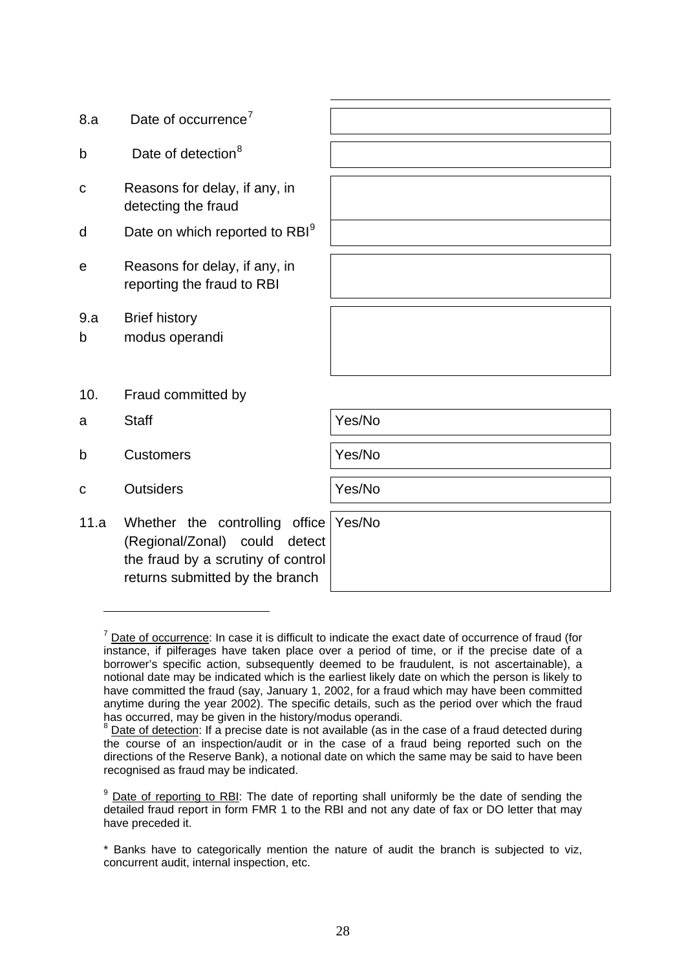<span id="page-2-0"></span>

| 8.a      | Date of occurrence <sup>7</sup>                                                                                                             |        |
|----------|---------------------------------------------------------------------------------------------------------------------------------------------|--------|
| b        | Date of detection <sup>8</sup>                                                                                                              |        |
| С        | Reasons for delay, if any, in<br>detecting the fraud                                                                                        |        |
| d        | Date on which reported to RBI <sup>9</sup>                                                                                                  |        |
| е        | Reasons for delay, if any, in<br>reporting the fraud to RBI                                                                                 |        |
| 9.a<br>b | <b>Brief history</b><br>modus operandi                                                                                                      |        |
| 10.      | Fraud committed by                                                                                                                          |        |
| a        | <b>Staff</b>                                                                                                                                | Yes/No |
| b        | <b>Customers</b>                                                                                                                            | Yes/No |
| C        | <b>Outsiders</b>                                                                                                                            | Yes/No |
| 11.a     | Whether the controlling office<br>(Regional/Zonal) could<br>detect<br>the fraud by a scrutiny of control<br>returns submitted by the branch | Yes/No |

 $<sup>7</sup>$  Date of occurrence: In case it is difficult to indicate the exact date of occurrence of fraud (for</sup> instance, if pilferages have taken place over a period of time, or if the precise date of a borrower's specific action, subsequently deemed to be fraudulent, is not ascertainable), a notional date may be indicated which is the earliest likely date on which the person is likely to have committed the fraud (say, January 1, 2002, for a fraud which may have been committed anytime during the year 2002). The specific details, such as the period over which the fraud has occurred, may be given in the history/modus operandi.

 $8$  Date of detection: If a precise date is not available (as in the case of a fraud detected during the course of an inspection/audit or in the case of a fraud being reported such on the directions of the Reserve Bank), a notional date on which the same may be said to have been recognised as fraud may be indicated.

<sup>&</sup>lt;sup>9</sup> Date of reporting to RBI: The date of reporting shall uniformly be the date of sending the detailed fraud report in form FMR 1 to the RBI and not any date of fax or DO letter that may have preceded it.

<sup>\*</sup> Banks have to categorically mention the nature of audit the branch is subjected to viz, concurrent audit, internal inspection, etc.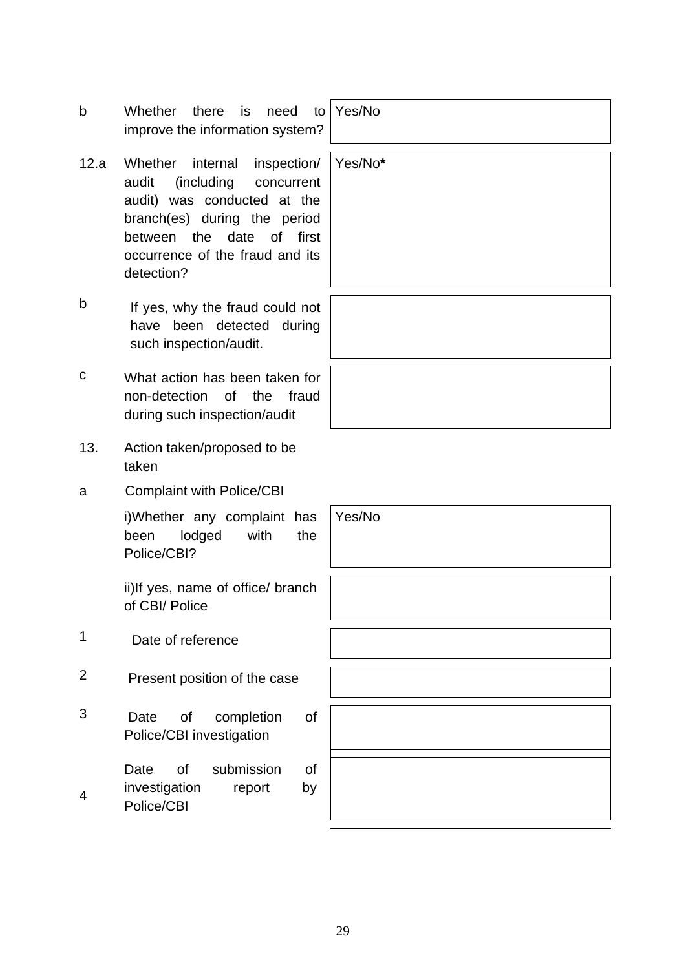- b Whether there is need to improve the information system?
- 12.a Whether internal inspection/ audit (including concurrent audit) was conducted at the branch(es) during the period between the date of first occurrence of the fraud and its detection?
- b If yes, why the fraud could not have been detected during such inspection/audit.
- c What action has been taken for non-detection of the fraud during such inspection/audit
- 13. Action taken/proposed to be taken
- a Complaint with Police/CBI

i)Whether any complaint has been lodged with the Police/CBI?

ii)If yes, name of office/ branch of CBI/ Police

1 Date of reference

4

- 2 Present position of the case
- 3 Date of completion of Police/CBI investigation
	- Date of submission of investigation report by
	- Police/CBI

Yes/No

Yes/No**\***

Yes/No

29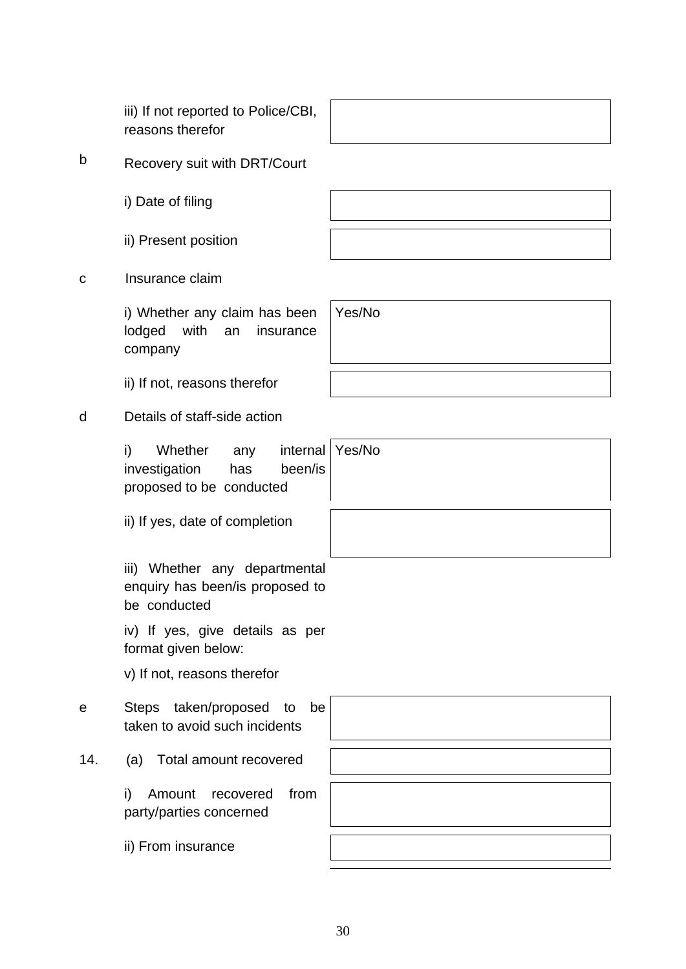b Recovery suit with DRT/Court

iii) If not reported to Police/CBI,

i) Date of filing

reasons therefor

ii) Present position

c Insurance claim

i) Whether any claim has been lodged with an insurance company

ii) If not, reasons therefor

# d Details of staff-side action

i) Whether any internal investigation has been/is proposed to be conducted

ii) If yes, date of completion

iii) Whether any departmental enquiry has been/is proposed to be conducted

iv) If yes, give details as per format given below:

v) If not, reasons therefor

e Steps taken/proposed to be taken to avoid such incidents

14. (a) Total amount recovered

i) Amount recovered from party/parties concerned

ii) From insurance

Yes/No

Yes/No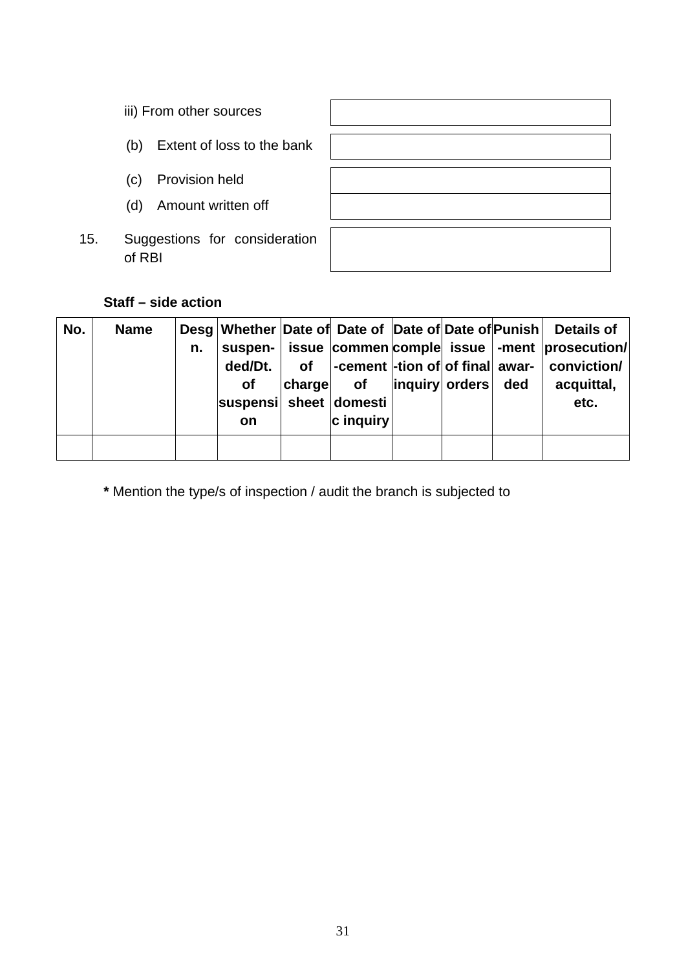- iii) From other sources
- (b) Extent of loss to the bank
- (c) Provision held
- (d) Amount written off
- 15. Suggestions for consideration of RBI

# **Staff – side action**

| No. | <b>Name</b> | n. | suspen-<br>ded/Dt.<br><b>of</b><br>suspensi sheet domesti | <b>of</b><br>charge | -cement  -tion of of final awar-  <br>of | inguiry orders | ded | Desg Whether Date of Date of Date of Date of Punish Details of<br>issue commen comple issue  -ment   prosecution<br>conviction/<br>acquittal,<br>etc. |
|-----|-------------|----|-----------------------------------------------------------|---------------------|------------------------------------------|----------------|-----|-------------------------------------------------------------------------------------------------------------------------------------------------------|
|     |             |    | <b>on</b>                                                 |                     | c inquiry                                |                |     |                                                                                                                                                       |
|     |             |    |                                                           |                     |                                          |                |     |                                                                                                                                                       |

**\*** Mention the type/s of inspection / audit the branch is subjected to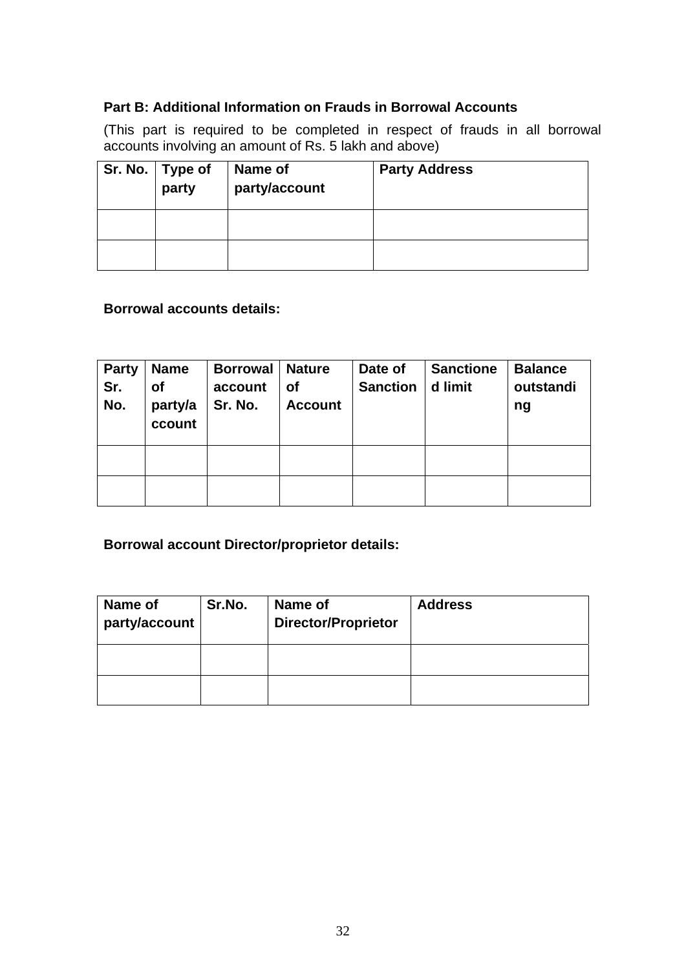#### **Part B: Additional Information on Frauds in Borrowal Accounts**

(This part is required to be completed in respect of frauds in all borrowal accounts involving an amount of Rs. 5 lakh and above)

| Sr. No. $ $ Type of<br>party | Name of<br>party/account | <b>Party Address</b> |
|------------------------------|--------------------------|----------------------|
|                              |                          |                      |
|                              |                          |                      |

#### **Borrowal accounts details:**

| <b>Party</b><br>Sr.<br>No. | <b>Name</b><br><b>of</b><br>party/a<br>ccount | <b>Borrowal</b><br>account<br>Sr. No. | <b>Nature</b><br><b>of</b><br><b>Account</b> | Date of<br><b>Sanction</b> | <b>Sanctione</b><br>d limit | <b>Balance</b><br>outstandi<br>ng |
|----------------------------|-----------------------------------------------|---------------------------------------|----------------------------------------------|----------------------------|-----------------------------|-----------------------------------|
|                            |                                               |                                       |                                              |                            |                             |                                   |
|                            |                                               |                                       |                                              |                            |                             |                                   |

**Borrowal account Director/proprietor details:** 

| Name of<br>party/account | Sr.No. | Name of<br><b>Director/Proprietor</b> | <b>Address</b> |
|--------------------------|--------|---------------------------------------|----------------|
|                          |        |                                       |                |
|                          |        |                                       |                |